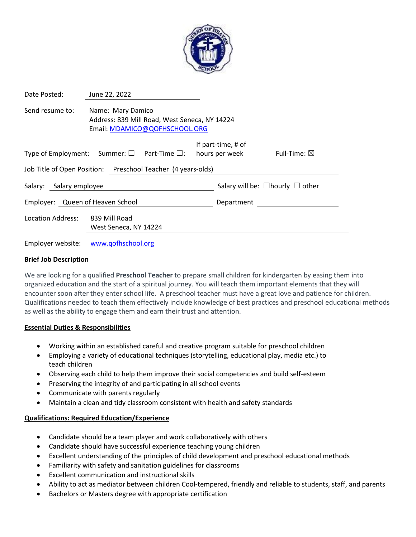

| Date Posted:                                                 | June 22, 2022                                                                                       |  |                                            |                                      |                        |  |
|--------------------------------------------------------------|-----------------------------------------------------------------------------------------------------|--|--------------------------------------------|--------------------------------------|------------------------|--|
| Send resume to:                                              | Name: Mary Damico<br>Address: 839 Mill Road, West Seneca, NY 14224<br>Email: MDAMICO@QOFHSCHOOL.ORG |  |                                            |                                      |                        |  |
| Type of Employment: Summer: $\square$ Part-Time $\square$ :  |                                                                                                     |  |                                            | If part-time, # of<br>hours per week | Full-Time: $\boxtimes$ |  |
| Job Title of Open Position: Preschool Teacher (4 years-olds) |                                                                                                     |  |                                            |                                      |                        |  |
| Salary: Salary employee                                      |                                                                                                     |  | Salary will be: $\Box$ hourly $\Box$ other |                                      |                        |  |
| Employer: Queen of Heaven School                             |                                                                                                     |  |                                            | Department                           |                        |  |
| <b>Location Address:</b>                                     | 839 Mill Road<br>West Seneca, NY 14224                                                              |  |                                            |                                      |                        |  |
| Employer website: www.qofhschool.org                         |                                                                                                     |  |                                            |                                      |                        |  |

### **Brief Job Description**

We are looking for a qualified **Preschool Teacher** to prepare small children for kindergarten by easing them into organized education and the start of a spiritual journey. You will teach them important elements that they will encounter soon after they enter school life. A preschool teacher must have a great love and patience for children. Qualifications needed to teach them effectively include knowledge of best practices and preschool educational methods as well as the ability to engage them and earn their trust and attention.

### **Essential Duties & Responsibilities**

- Working within an established careful and creative program suitable for preschool children
- Employing a variety of educational techniques (storytelling, educational play, media etc.) to teach children
- Observing each child to help them improve their social competencies and build self-esteem
- Preserving the integrity of and participating in all school events
- Communicate with parents regularly
- Maintain a clean and tidy classroom consistent with health and safety standards

### **Qualifications: Required Education/Experience**

- Candidate should be a team player and work collaboratively with others
- Candidate should have successful experience teaching young children
- Excellent understanding of the principles of child development and preschool educational methods
- Familiarity with safety and sanitation guidelines for classrooms
- Excellent communication and instructional skills
- Ability to act as mediator between children Cool-tempered, friendly and reliable to students, staff, and parents
- Bachelors or Masters degree with appropriate certification